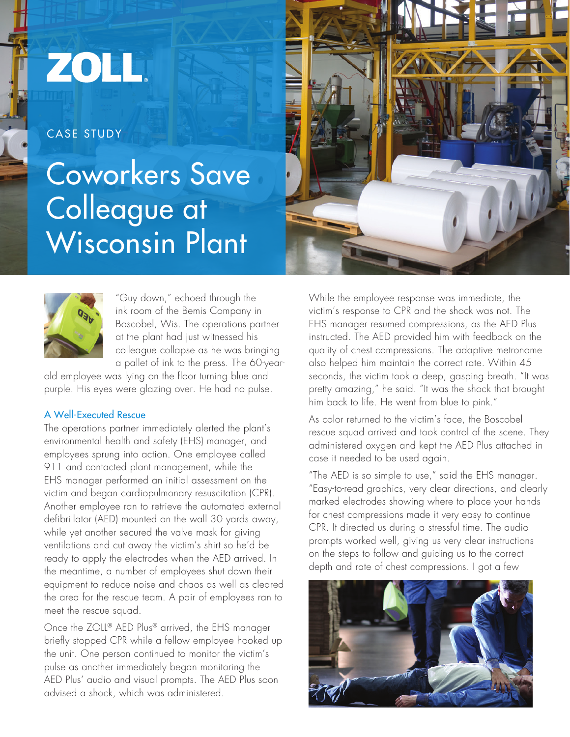# ZOLL.

CASE STUDY

# Coworkers Save Colleague at Wisconsin Plant





"Guy down," echoed through the ink room of the Bemis Company in Boscobel, Wis. The operations partner at the plant had just witnessed his colleague collapse as he was bringing a pallet of ink to the press. The 60-year-

old employee was lying on the floor turning blue and purple. His eyes were glazing over. He had no pulse.

## A Well-Executed Rescue

The operations partner immediately alerted the plant's environmental health and safety (EHS) manager, and employees sprung into action. One employee called 911 and contacted plant management, while the EHS manager performed an initial assessment on the victim and began cardiopulmonary resuscitation (CPR). Another employee ran to retrieve the automated external defibrillator (AED) mounted on the wall 30 yards away, while yet another secured the valve mask for giving ventilations and cut away the victim's shirt so he'd be ready to apply the electrodes when the AED arrived. In the meantime, a number of employees shut down their equipment to reduce noise and chaos as well as cleared the area for the rescue team. A pair of employees ran to meet the rescue squad.

Once the ZOLL® AED Plus® arrived, the EHS manager briefly stopped CPR while a fellow employee hooked up the unit. One person continued to monitor the victim's pulse as another immediately began monitoring the AED Plus' audio and visual prompts. The AED Plus soon advised a shock, which was administered.

While the employee response was immediate, the victim's response to CPR and the shock was not. The EHS manager resumed compressions, as the AED Plus instructed. The AED provided him with feedback on the quality of chest compressions. The adaptive metronome also helped him maintain the correct rate. Within 45 seconds, the victim took a deep, gasping breath. "It was pretty amazing," he said. "It was the shock that brought him back to life. He went from blue to pink."

As color returned to the victim's face, the Boscobel rescue squad arrived and took control of the scene. They administered oxygen and kept the AED Plus attached in case it needed to be used again.

"The AED is so simple to use," said the EHS manager. "Easy-to-read graphics, very clear directions, and clearly marked electrodes showing where to place your hands for chest compressions made it very easy to continue CPR. It directed us during a stressful time. The audio prompts worked well, giving us very clear instructions on the steps to follow and guiding us to the correct depth and rate of chest compressions. I got a few